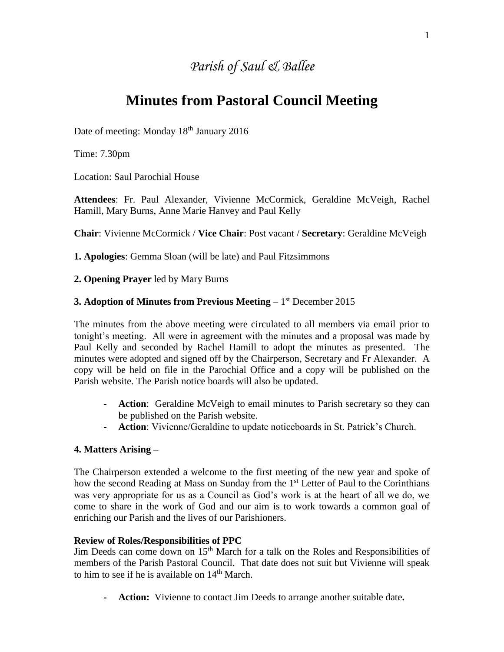## *Parish of Saul & Ballee*

# **Minutes from Pastoral Council Meeting**

Date of meeting: Monday 18<sup>th</sup> January 2016

Time: 7.30pm

Location: Saul Parochial House

**Attendees**: Fr. Paul Alexander, Vivienne McCormick, Geraldine McVeigh, Rachel Hamill, Mary Burns, Anne Marie Hanvey and Paul Kelly

**Chair**: Vivienne McCormick / **Vice Chair**: Post vacant / **Secretary**: Geraldine McVeigh

**1. Apologies**: Gemma Sloan (will be late) and Paul Fitzsimmons

#### **2. Opening Prayer** led by Mary Burns

#### **3. Adoption of Minutes from Previous Meeting** – 1 st December 2015

The minutes from the above meeting were circulated to all members via email prior to tonight's meeting. All were in agreement with the minutes and a proposal was made by Paul Kelly and seconded by Rachel Hamill to adopt the minutes as presented. The minutes were adopted and signed off by the Chairperson, Secretary and Fr Alexander. A copy will be held on file in the Parochial Office and a copy will be published on the Parish website. The Parish notice boards will also be updated.

- **- Action**: Geraldine McVeigh to email minutes to Parish secretary so they can be published on the Parish website.
- **- Action**: Vivienne/Geraldine to update noticeboards in St. Patrick's Church.

#### **4. Matters Arising –**

The Chairperson extended a welcome to the first meeting of the new year and spoke of how the second Reading at Mass on Sunday from the 1<sup>st</sup> Letter of Paul to the Corinthians was very appropriate for us as a Council as God's work is at the heart of all we do, we come to share in the work of God and our aim is to work towards a common goal of enriching our Parish and the lives of our Parishioners.

#### **Review of Roles/Responsibilities of PPC**

Jim Deeds can come down on  $15<sup>th</sup>$  March for a talk on the Roles and Responsibilities of members of the Parish Pastoral Council. That date does not suit but Vivienne will speak to him to see if he is available on 14<sup>th</sup> March.

**- Action:** Vivienne to contact Jim Deeds to arrange another suitable date**.**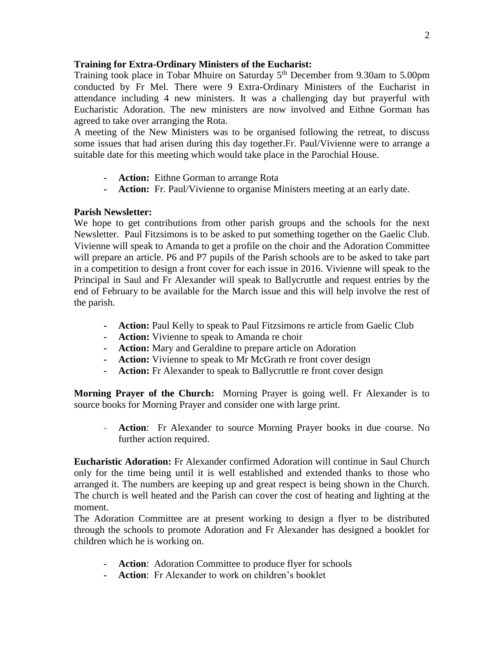#### **Training for Extra-Ordinary Ministers of the Eucharist:**

Training took place in Tobar Mhuire on Saturday  $5<sup>th</sup>$  December from 9.30am to 5.00pm conducted by Fr Mel. There were 9 Extra-Ordinary Ministers of the Eucharist in attendance including 4 new ministers. It was a challenging day but prayerful with Eucharistic Adoration. The new ministers are now involved and Eithne Gorman has agreed to take over arranging the Rota.

A meeting of the New Ministers was to be organised following the retreat, to discuss some issues that had arisen during this day together.Fr. Paul/Vivienne were to arrange a suitable date for this meeting which would take place in the Parochial House.

- **- Action:** Eithne Gorman to arrange Rota
- **- Action:** Fr. Paul/Vivienne to organise Ministers meeting at an early date.

#### **Parish Newsletter:**

We hope to get contributions from other parish groups and the schools for the next Newsletter. Paul Fitzsimons is to be asked to put something together on the Gaelic Club. Vivienne will speak to Amanda to get a profile on the choir and the Adoration Committee will prepare an article. P6 and P7 pupils of the Parish schools are to be asked to take part in a competition to design a front cover for each issue in 2016. Vivienne will speak to the Principal in Saul and Fr Alexander will speak to Ballycruttle and request entries by the end of February to be available for the March issue and this will help involve the rest of the parish.

- **- Action:** Paul Kelly to speak to Paul Fitzsimons re article from Gaelic Club
- **- Action:** Vivienne to speak to Amanda re choir
- **- Action:** Mary and Geraldine to prepare article on Adoration
- **- Action:** Vivienne to speak to Mr McGrath re front cover design
- **- Action:** Fr Alexander to speak to Ballycruttle re front cover design

**Morning Prayer of the Church:** Morning Prayer is going well. Fr Alexander is to source books for Morning Prayer and consider one with large print.

**- Action**: Fr Alexander to source Morning Prayer books in due course. No further action required.

**Eucharistic Adoration:** Fr Alexander confirmed Adoration will continue in Saul Church only for the time being until it is well established and extended thanks to those who arranged it. The numbers are keeping up and great respect is being shown in the Church. The church is well heated and the Parish can cover the cost of heating and lighting at the moment.

The Adoration Committee are at present working to design a flyer to be distributed through the schools to promote Adoration and Fr Alexander has designed a booklet for children which he is working on.

- **- Action**: Adoration Committee to produce flyer for schools
- **- Action**: Fr Alexander to work on children's booklet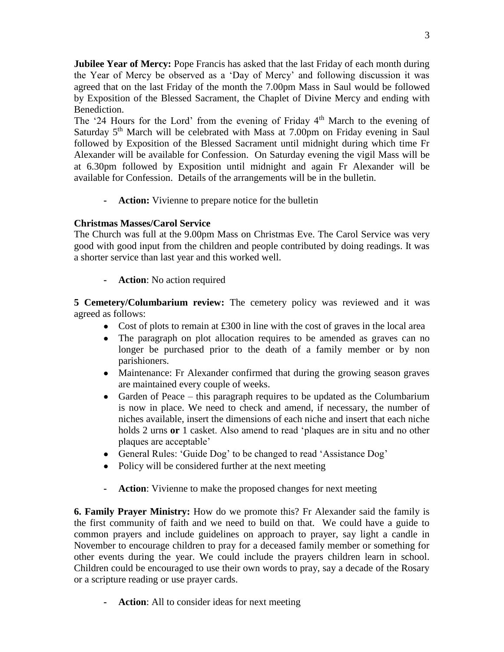**Jubilee Year of Mercy:** Pope Francis has asked that the last Friday of each month during the Year of Mercy be observed as a 'Day of Mercy' and following discussion it was agreed that on the last Friday of the month the 7.00pm Mass in Saul would be followed by Exposition of the Blessed Sacrament, the Chaplet of Divine Mercy and ending with Benediction.

The '24 Hours for the Lord' from the evening of Friday  $4<sup>th</sup>$  March to the evening of Saturday  $5<sup>th</sup>$  March will be celebrated with Mass at 7.00pm on Friday evening in Saul followed by Exposition of the Blessed Sacrament until midnight during which time Fr Alexander will be available for Confession. On Saturday evening the vigil Mass will be at 6.30pm followed by Exposition until midnight and again Fr Alexander will be available for Confession. Details of the arrangements will be in the bulletin.

**- Action:** Vivienne to prepare notice for the bulletin

### **Christmas Masses/Carol Service**

The Church was full at the 9.00pm Mass on Christmas Eve. The Carol Service was very good with good input from the children and people contributed by doing readings. It was a shorter service than last year and this worked well.

**- Action**: No action required

**5 Cemetery/Columbarium review:** The cemetery policy was reviewed and it was agreed as follows:

- Cost of plots to remain at £300 in line with the cost of graves in the local area
- The paragraph on plot allocation requires to be amended as graves can no longer be purchased prior to the death of a family member or by non parishioners.
- Maintenance: Fr Alexander confirmed that during the growing season graves are maintained every couple of weeks.
- Garden of Peace this paragraph requires to be updated as the Columbarium is now in place. We need to check and amend, if necessary, the number of niches available, insert the dimensions of each niche and insert that each niche holds 2 urns **or** 1 casket. Also amend to read 'plaques are in situ and no other plaques are acceptable'
- General Rules: 'Guide Dog' to be changed to read 'Assistance Dog'
- Policy will be considered further at the next meeting
- **- Action**: Vivienne to make the proposed changes for next meeting

**6. Family Prayer Ministry:** How do we promote this? Fr Alexander said the family is the first community of faith and we need to build on that. We could have a guide to common prayers and include guidelines on approach to prayer, say light a candle in November to encourage children to pray for a deceased family member or something for other events during the year. We could include the prayers children learn in school. Children could be encouraged to use their own words to pray, say a decade of the Rosary or a scripture reading or use prayer cards.

**- Action**: All to consider ideas for next meeting